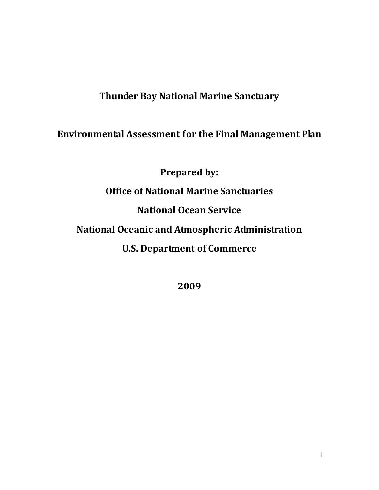## **Thunder Bay National Marine Sanctuary**

# **Environmental Assessment for the Final Management Plan**

**Prepared by: Office of National Marine Sanctuaries National Ocean Service National Oceanic and Atmospheric Administration U.S. Department of Commerce**

**2009**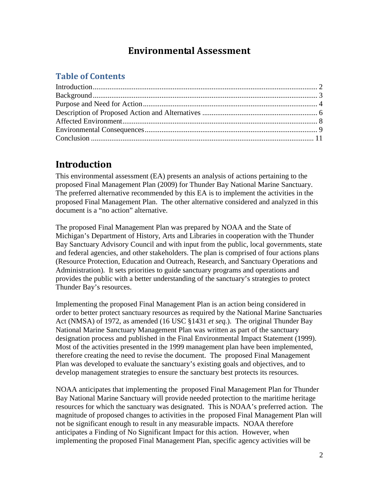## **Environmental Assessment**

## **Table of Contents**

## <span id="page-1-0"></span>**Introduction**

This environmental assessment (EA) presents an analysis of actions pertaining to the proposed Final Management Plan (2009) for Thunder Bay National Marine Sanctuary. The preferred alternative recommended by this EA is to implement the activities in the proposed Final Management Plan. The other alternative considered and analyzed in this document is a "no action" alternative.

The proposed Final Management Plan was prepared by NOAA and the State of Michigan's Department of History, Arts and Libraries in cooperation with the Thunder Bay Sanctuary Advisory Council and with input from the public, local governments, state and federal agencies, and other stakeholders. The plan is comprised of four actions plans (Resource Protection, Education and Outreach, Research, and Sanctuary Operations and Administration). It sets priorities to guide sanctuary programs and operations and provides the public with a better understanding of the sanctuary's strategies to protect Thunder Bay's resources.

Implementing the proposed Final Management Plan is an action being considered in order to better protect sanctuary resources as required by the National Marine Sanctuaries Act (NMSA) of 1972, as amended (16 USC §1431 *et seq.*). The original Thunder Bay National Marine Sanctuary Management Plan was written as part of the sanctuary designation process and published in the Final Environmental Impact Statement (1999). Most of the activities presented in the 1999 management plan have been implemented, therefore creating the need to revise the document. The proposed Final Management Plan was developed to evaluate the sanctuary's existing goals and objectives, and to develop management strategies to ensure the sanctuary best protects its resources.

NOAA anticipates that implementing the proposed Final Management Plan for Thunder Bay National Marine Sanctuary will provide needed protection to the maritime heritage resources for which the sanctuary was designated. This is NOAA's preferred action. The magnitude of proposed changes to activities in the proposed Final Management Plan will not be significant enough to result in any measurable impacts. NOAA therefore anticipates a Finding of No Significant Impact for this action. However, when implementing the proposed Final Management Plan, specific agency activities will be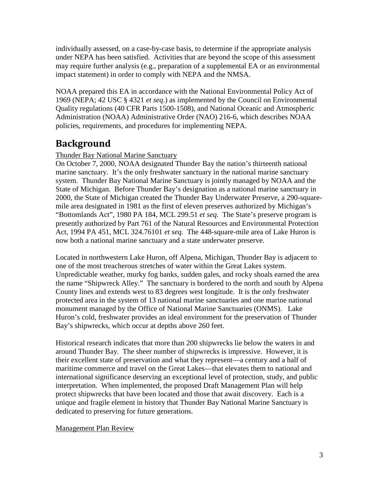individually assessed, on a case-by-case basis, to determine if the appropriate analysis under NEPA has been satisfied. Activities that are beyond the scope of this assessment may require further analysis (e.g., preparation of a supplemental EA or an environmental impact statement) in order to comply with NEPA and the NMSA.

NOAA prepared this EA in accordance with the National Environmental Policy Act of 1969 (NEPA; 42 USC § 4321 *et seq*.) as implemented by the Council on Environmental Quality regulations (40 CFR Parts 1500-1508), and National Oceanic and Atmospheric Administration (NOAA) Administrative Order (NAO) 216-6, which describes NOAA policies, requirements, and procedures for implementing NEPA.

# <span id="page-2-0"></span>**Background**

## Thunder Bay National Marine Sanctuary

On October 7, 2000, NOAA designated Thunder Bay the nation's thirteenth national marine sanctuary. It's the only freshwater sanctuary in the national marine sanctuary system. Thunder Bay National Marine Sanctuary is jointly managed by NOAA and the State of Michigan. Before Thunder Bay's designation as a national marine sanctuary in 2000, the State of Michigan created the Thunder Bay Underwater Preserve, a 290-squaremile area designated in 1981 as the first of eleven preserves authorized by Michigan's "Bottomlands Act", 1980 PA 184, MCL 299.51 *et seq*. The State's preserve program is presently authorized by Part 761 of the Natural Resources and Environmental Protection Act, 1994 PA 451, MCL 324.76101 *et seq*. The 448-square-mile area of Lake Huron is now both a national marine sanctuary and a state underwater preserve.

Located in northwestern Lake Huron, off Alpena, Michigan, Thunder Bay is adjacent to one of the most treacherous stretches of water within the Great Lakes system. Unpredictable weather, murky fog banks, sudden gales, and rocky shoals earned the area the name "Shipwreck Alley." The sanctuary is bordered to the north and south by Alpena County lines and extends west to 83 degrees west longitude. It is the only freshwater protected area in the system of 13 national marine sanctuaries and one marine national monument managed by the Office of National Marine Sanctuaries (ONMS). Lake Huron's cold, freshwater provides an ideal environment for the preservation of Thunder Bay's shipwrecks, which occur at depths above 260 feet.

Historical research indicates that more than 200 shipwrecks lie below the waters in and around Thunder Bay. The sheer number of shipwrecks is impressive. However, it is their excellent state of preservation and what they represent—a century and a half of maritime commerce and travel on the Great Lakes—that elevates them to national and international significance deserving an exceptional level of protection, study, and public interpretation. When implemented, the proposed Draft Management Plan will help protect shipwrecks that have been located and those that await discovery. Each is a unique and fragile element in history that Thunder Bay National Marine Sanctuary is dedicated to preserving for future generations.

### Management Plan Review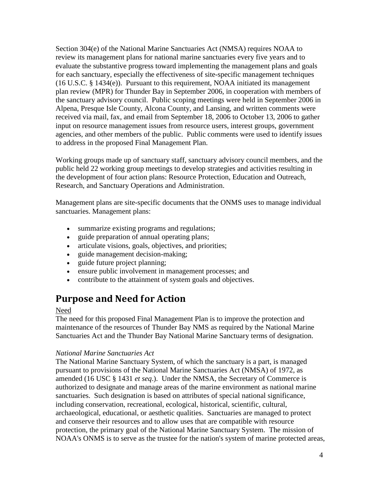Section 304(e) of the National Marine Sanctuaries Act (NMSA) requires NOAA to review its management plans for national marine sanctuaries every five years and to evaluate the substantive progress toward implementing the management plans and goals for each sanctuary, especially the effectiveness of site-specific management techniques (16 U.S.C. § 1434(e)). Pursuant to this requirement, NOAA initiated its management plan review (MPR) for Thunder Bay in September 2006, in cooperation with members of the sanctuary advisory council. Public scoping meetings were held in September 2006 in Alpena, Presque Isle County, Alcona County, and Lansing, and written comments were received via mail, fax, and email from September 18, 2006 to October 13, 2006 to gather input on resource management issues from resource users, interest groups, government agencies, and other members of the public. Public comments were used to identify issues to address in the proposed Final Management Plan.

Working groups made up of sanctuary staff, sanctuary advisory council members, and the public held 22 working group meetings to develop strategies and activities resulting in the development of four action plans: Resource Protection, Education and Outreach, Research, and Sanctuary Operations and Administration.

Management plans are site-specific documents that the ONMS uses to manage individual sanctuaries. Management plans:

- summarize existing programs and regulations;
- guide preparation of annual operating plans;
- articulate visions, goals, objectives, and priorities;
- guide management decision-making;
- guide future project planning;
- ensure public involvement in management processes; and
- contribute to the attainment of system goals and objectives.

## <span id="page-3-0"></span>**Purpose and Need for Action**

#### Need

The need for this proposed Final Management Plan is to improve the protection and maintenance of the resources of Thunder Bay NMS as required by the National Marine Sanctuaries Act and the Thunder Bay National Marine Sanctuary terms of designation.

#### *National Marine Sanctuaries Act*

The National Marine Sanctuary System, of which the sanctuary is a part, is managed pursuant to provisions of the National Marine Sanctuaries Act (NMSA) of 1972, as amended (16 USC § 1431 *et seq*.). Under the NMSA, the Secretary of Commerce is authorized to designate and manage areas of the marine environment as national marine sanctuaries. Such designation is based on attributes of special national significance, including conservation, recreational, ecological, historical, scientific, cultural, archaeological, educational, or aesthetic qualities. Sanctuaries are managed to protect and conserve their resources and to allow uses that are compatible with resource protection, the primary goal of the National Marine Sanctuary System. The mission of NOAA's ONMS is to serve as the trustee for the nation's system of marine protected areas,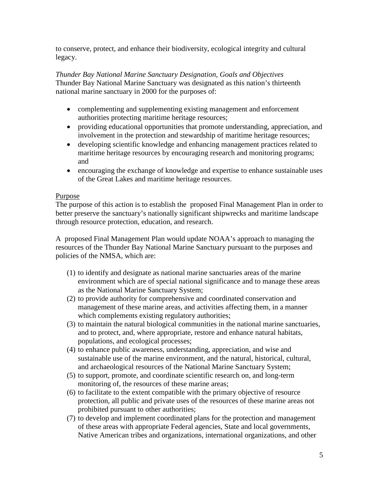to conserve, protect, and enhance their biodiversity, ecological integrity and cultural legacy.

*Thunder Bay National Marine Sanctuary Designation, Goals and Objectives* Thunder Bay National Marine Sanctuary was designated as this nation's thirteenth national marine sanctuary in 2000 for the purposes of:

- complementing and supplementing existing management and enforcement authorities protecting maritime heritage resources;
- providing educational opportunities that promote understanding, appreciation, and involvement in the protection and stewardship of maritime heritage resources;
- developing scientific knowledge and enhancing management practices related to maritime heritage resources by encouraging research and monitoring programs; and
- encouraging the exchange of knowledge and expertise to enhance sustainable uses of the Great Lakes and maritime heritage resources.

#### **Purpose**

The purpose of this action is to establish the proposed Final Management Plan in order to better preserve the sanctuary's nationally significant shipwrecks and maritime landscape through resource protection, education, and research.

A proposed Final Management Plan would update NOAA's approach to managing the resources of the Thunder Bay National Marine Sanctuary pursuant to the purposes and policies of the NMSA, which are:

- (1) to identify and designate as national marine sanctuaries areas of the marine environment which are of special national significance and to manage these areas as the National Marine Sanctuary System;
- (2) to provide authority for comprehensive and coordinated conservation and management of these marine areas, and activities affecting them, in a manner which complements existing regulatory authorities;
- (3) to maintain the natural biological communities in the national marine sanctuaries, and to protect, and, where appropriate, restore and enhance natural habitats, populations, and ecological processes;
- (4) to enhance public awareness, understanding, appreciation, and wise and sustainable use of the marine environment, and the natural, historical, cultural, and archaeological resources of the National Marine Sanctuary System;
- (5) to support, promote, and coordinate scientific research on, and long-term monitoring of, the resources of these marine areas;
- (6) to facilitate to the extent compatible with the primary objective of resource protection, all public and private uses of the resources of these marine areas not prohibited pursuant to other authorities;
- (7) to develop and implement coordinated plans for the protection and management of these areas with appropriate Federal agencies, State and local governments, Native American tribes and organizations, international organizations, and other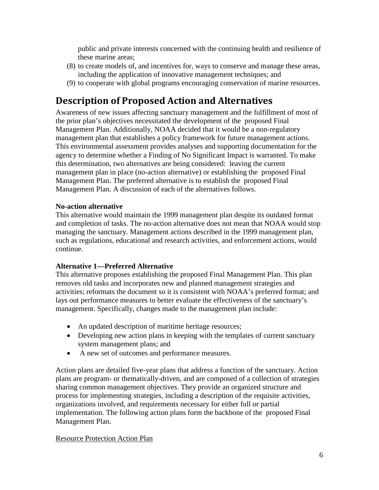public and private interests concerned with the continuing health and resilience of these marine areas;

- (8) to create models of, and incentives for, ways to conserve and manage these areas, including the application of innovative management techniques; and
- (9) to cooperate with global programs encouraging conservation of marine resources.

# <span id="page-5-0"></span>**Description of Proposed Action and Alternatives**

Awareness of new issues affecting sanctuary management and the fulfillment of most of the prior plan's objectives necessitated the development of the proposed Final Management Plan. Additionally, NOAA decided that it would be a non-regulatory management plan that establishes a policy framework for future management actions. This environmental assessment provides analyses and supporting documentation for the agency to determine whether a Finding of No Significant Impact is warranted. To make this determination, two alternatives are being considered: leaving the current management plan in place (no-action alternative) or establishing the proposed Final Management Plan. The preferred alternative is to establish the proposed Final Management Plan. A discussion of each of the alternatives follows.

### **No-action alternative**

This alternative would maintain the 1999 management plan despite its outdated format and completion of tasks. The no-action alternative does not mean that NOAA would stop managing the sanctuary. Management actions described in the 1999 management plan, such as regulations, educational and research activities, and enforcement actions, would continue.

## **Alternative 1—Preferred Alternative**

This alternative proposes establishing the proposed Final Management Plan. This plan removes old tasks and incorporates new and planned management strategies and activities; reformats the document so it is consistent with NOAA's preferred format; and lays out performance measures to better evaluate the effectiveness of the sanctuary's management. Specifically, changes made to the management plan include:

- An updated description of maritime heritage resources;
- Developing new action plans in keeping with the templates of current sanctuary system management plans; and
- A new set of outcomes and performance measures.

Action plans are detailed five-year plans that address a function of the sanctuary. Action plans are program- or thematically-driven, and are composed of a collection of strategies sharing common management objectives. They provide an organized structure and process for implementing strategies, including a description of the requisite activities, organizations involved, and requirements necessary for either full or partial implementation. The following action plans form the backbone of the proposed Final Management Plan.

### Resource Protection Action Plan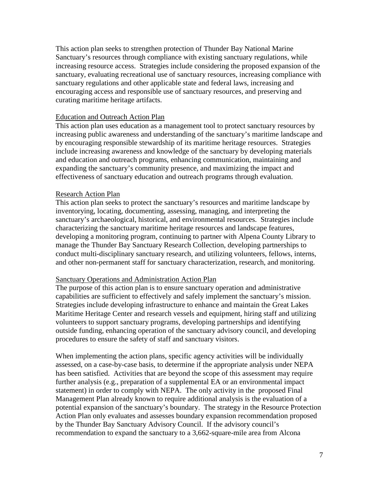This action plan seeks to strengthen protection of Thunder Bay National Marine Sanctuary's resources through compliance with existing sanctuary regulations, while increasing resource access. Strategies include considering the proposed expansion of the sanctuary, evaluating recreational use of sanctuary resources, increasing compliance with sanctuary regulations and other applicable state and federal laws, increasing and encouraging access and responsible use of sanctuary resources, and preserving and curating maritime heritage artifacts.

#### Education and Outreach Action Plan

This action plan uses education as a management tool to protect sanctuary resources by increasing public awareness and understanding of the sanctuary's maritime landscape and by encouraging responsible stewardship of its maritime heritage resources. Strategies include increasing awareness and knowledge of the sanctuary by developing materials and education and outreach programs, enhancing communication, maintaining and expanding the sanctuary's community presence, and maximizing the impact and effectiveness of sanctuary education and outreach programs through evaluation.

#### Research Action Plan

This action plan seeks to protect the sanctuary's resources and maritime landscape by inventorying, locating, documenting, assessing, managing, and interpreting the sanctuary's archaeological, historical, and environmental resources. Strategies include characterizing the sanctuary maritime heritage resources and landscape features, developing a monitoring program, continuing to partner with Alpena County Library to manage the Thunder Bay Sanctuary Research Collection, developing partnerships to conduct multi-disciplinary sanctuary research, and utilizing volunteers, fellows, interns, and other non-permanent staff for sanctuary characterization, research, and monitoring.

#### Sanctuary Operations and Administration Action Plan

The purpose of this action plan is to ensure sanctuary operation and administrative capabilities are sufficient to effectively and safely implement the sanctuary's mission. Strategies include developing infrastructure to enhance and maintain the Great Lakes Maritime Heritage Center and research vessels and equipment, hiring staff and utilizing volunteers to support sanctuary programs, developing partnerships and identifying outside funding, enhancing operation of the sanctuary advisory council, and developing procedures to ensure the safety of staff and sanctuary visitors.

When implementing the action plans, specific agency activities will be individually assessed, on a case-by-case basis, to determine if the appropriate analysis under NEPA has been satisfied. Activities that are beyond the scope of this assessment may require further analysis (e.g., preparation of a supplemental EA or an environmental impact statement) in order to comply with NEPA. The only activity in the proposed Final Management Plan already known to require additional analysis is the evaluation of a potential expansion of the sanctuary's boundary. The strategy in the Resource Protection Action Plan only evaluates and assesses boundary expansion recommendation proposed by the Thunder Bay Sanctuary Advisory Council. If the advisory council's recommendation to expand the sanctuary to a 3,662-square-mile area from Alcona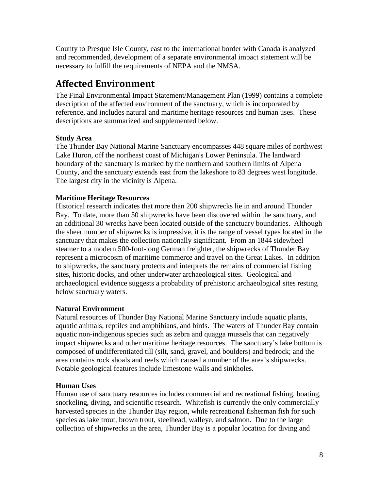County to Presque Isle County, east to the international border with Canada is analyzed and recommended, development of a separate environmental impact statement will be necessary to fulfill the requirements of NEPA and the NMSA.

# <span id="page-7-0"></span>**Affected Environment**

The Final Environmental Impact Statement/Management Plan (1999) contains a complete description of the affected environment of the sanctuary, which is incorporated by reference, and includes natural and maritime heritage resources and human uses. These descriptions are summarized and supplemented below.

## **Study Area**

The Thunder Bay National Marine Sanctuary encompasses 448 square miles of northwest Lake Huron, off the northeast coast of Michigan's Lower Peninsula. The landward boundary of the sanctuary is marked by the northern and southern limits of Alpena County, and the sanctuary extends east from the lakeshore to 83 degrees west longitude. The largest city in the vicinity is Alpena.

### **Maritime Heritage Resources**

Historical research indicates that more than 200 shipwrecks lie in and around Thunder Bay. To date, more than 50 shipwrecks have been discovered within the sanctuary, and an additional 30 wrecks have been located outside of the sanctuary boundaries. Although the sheer number of shipwrecks is impressive, it is the range of vessel types located in the sanctuary that makes the collection nationally significant. From an 1844 sidewheel steamer to a modern 500-foot-long German freighter, the shipwrecks of Thunder Bay represent a microcosm of maritime commerce and travel on the Great Lakes. In addition to shipwrecks, the sanctuary protects and interprets the remains of commercial fishing sites, historic docks, and other underwater archaeological sites. Geological and archaeological evidence suggests a probability of prehistoric archaeological sites resting below sanctuary waters.

### **Natural Environment**

Natural resources of Thunder Bay National Marine Sanctuary include aquatic plants, aquatic animals, reptiles and amphibians, and birds. The waters of Thunder Bay contain aquatic non-indigenous species such as zebra and quagga mussels that can negatively impact shipwrecks and other maritime heritage resources. The sanctuary's lake bottom is composed of undifferentiated till (silt, sand, gravel, and boulders) and bedrock; and the area contains rock shoals and reefs which caused a number of the area's shipwrecks. Notable geological features include limestone walls and sinkholes.

## **Human Uses**

Human use of sanctuary resources includes commercial and recreational fishing, boating, snorkeling, diving, and scientific research. Whitefish is currently the only commercially harvested species in the Thunder Bay region, while recreational fisherman fish for such species as lake trout, brown trout, steelhead, walleye, and salmon. Due to the large collection of shipwrecks in the area, Thunder Bay is a popular location for diving and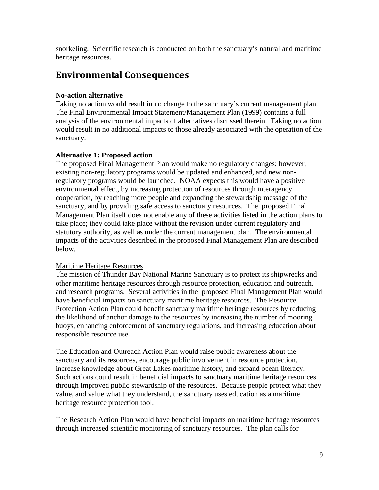snorkeling. Scientific research is conducted on both the sanctuary's natural and maritime heritage resources.

## <span id="page-8-0"></span>**Environmental Consequences**

#### **No-action alternative**

Taking no action would result in no change to the sanctuary's current management plan. The Final Environmental Impact Statement/Management Plan (1999) contains a full analysis of the environmental impacts of alternatives discussed therein. Taking no action would result in no additional impacts to those already associated with the operation of the sanctuary.

#### **Alternative 1: Proposed action**

The proposed Final Management Plan would make no regulatory changes; however, existing non-regulatory programs would be updated and enhanced, and new nonregulatory programs would be launched. NOAA expects this would have a positive environmental effect, by increasing protection of resources through interagency cooperation, by reaching more people and expanding the stewardship message of the sanctuary, and by providing safe access to sanctuary resources. The proposed Final Management Plan itself does not enable any of these activities listed in the action plans to take place; they could take place without the revision under current regulatory and statutory authority, as well as under the current management plan. The environmental impacts of the activities described in the proposed Final Management Plan are described below.

#### Maritime Heritage Resources

The mission of Thunder Bay National Marine Sanctuary is to protect its shipwrecks and other maritime heritage resources through resource protection, education and outreach, and research programs. Several activities in the proposed Final Management Plan would have beneficial impacts on sanctuary maritime heritage resources. The Resource Protection Action Plan could benefit sanctuary maritime heritage resources by reducing the likelihood of anchor damage to the resources by increasing the number of mooring buoys, enhancing enforcement of sanctuary regulations, and increasing education about responsible resource use.

The Education and Outreach Action Plan would raise public awareness about the sanctuary and its resources, encourage public involvement in resource protection, increase knowledge about Great Lakes maritime history, and expand ocean literacy. Such actions could result in beneficial impacts to sanctuary maritime heritage resources through improved public stewardship of the resources. Because people protect what they value, and value what they understand, the sanctuary uses education as a maritime heritage resource protection tool.

The Research Action Plan would have beneficial impacts on maritime heritage resources through increased scientific monitoring of sanctuary resources. The plan calls for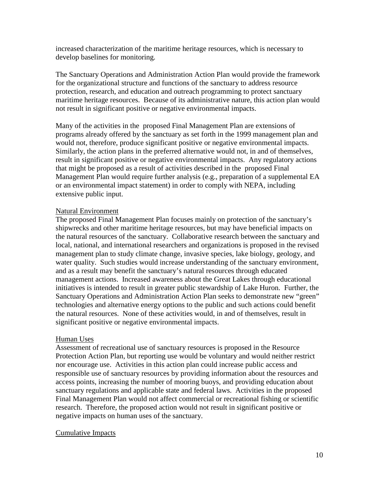increased characterization of the maritime heritage resources, which is necessary to develop baselines for monitoring.

The Sanctuary Operations and Administration Action Plan would provide the framework for the organizational structure and functions of the sanctuary to address resource protection, research, and education and outreach programming to protect sanctuary maritime heritage resources. Because of its administrative nature, this action plan would not result in significant positive or negative environmental impacts.

Many of the activities in the proposed Final Management Plan are extensions of programs already offered by the sanctuary as set forth in the 1999 management plan and would not, therefore, produce significant positive or negative environmental impacts. Similarly, the action plans in the preferred alternative would not, in and of themselves, result in significant positive or negative environmental impacts. Any regulatory actions that might be proposed as a result of activities described in the proposed Final Management Plan would require further analysis (e.g., preparation of a supplemental EA or an environmental impact statement) in order to comply with NEPA, including extensive public input.

#### Natural Environment

The proposed Final Management Plan focuses mainly on protection of the sanctuary's shipwrecks and other maritime heritage resources, but may have beneficial impacts on the natural resources of the sanctuary. Collaborative research between the sanctuary and local, national, and international researchers and organizations is proposed in the revised management plan to study climate change, invasive species, lake biology, geology, and water quality. Such studies would increase understanding of the sanctuary environment, and as a result may benefit the sanctuary's natural resources through educated management actions. Increased awareness about the Great Lakes through educational initiatives is intended to result in greater public stewardship of Lake Huron. Further, the Sanctuary Operations and Administration Action Plan seeks to demonstrate new "green" technologies and alternative energy options to the public and such actions could benefit the natural resources. None of these activities would, in and of themselves, result in significant positive or negative environmental impacts.

#### Human Uses

Assessment of recreational use of sanctuary resources is proposed in the Resource Protection Action Plan, but reporting use would be voluntary and would neither restrict nor encourage use. Activities in this action plan could increase public access and responsible use of sanctuary resources by providing information about the resources and access points, increasing the number of mooring buoys, and providing education about sanctuary regulations and applicable state and federal laws. Activities in the proposed Final Management Plan would not affect commercial or recreational fishing or scientific research. Therefore, the proposed action would not result in significant positive or negative impacts on human uses of the sanctuary.

#### Cumulative Impacts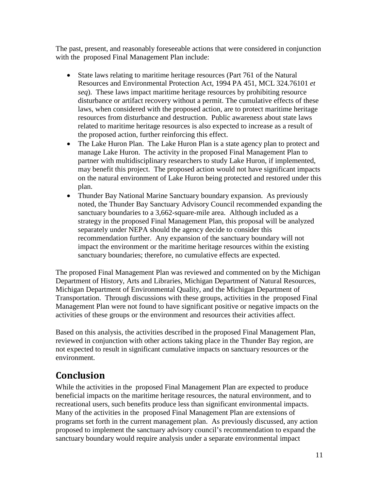<span id="page-10-0"></span>The past, present, and reasonably foreseeable actions that were considered in conjunction with the proposed Final Management Plan include:

- State laws relating to maritime heritage resources (Part 761 of the Natural Resources and Environmental Protection Act, 1994 PA 451, MCL 324.76101 *et seq*). These laws impact maritime heritage resources by prohibiting resource disturbance or artifact recovery without a permit. The cumulative effects of these laws, when considered with the proposed action, are to protect maritime heritage resources from disturbance and destruction. Public awareness about state laws related to maritime heritage resources is also expected to increase as a result of the proposed action, further reinforcing this effect.
- The Lake Huron Plan. The Lake Huron Plan is a state agency plan to protect and manage Lake Huron. The activity in the proposed Final Management Plan to partner with multidisciplinary researchers to study Lake Huron, if implemented, may benefit this project. The proposed action would not have significant impacts on the natural environment of Lake Huron being protected and restored under this plan.
- Thunder Bay National Marine Sanctuary boundary expansion. As previously noted, the Thunder Bay Sanctuary Advisory Council recommended expanding the sanctuary boundaries to a 3,662-square-mile area. Although included as a strategy in the proposed Final Management Plan, this proposal will be analyzed separately under NEPA should the agency decide to consider this recommendation further. Any expansion of the sanctuary boundary will not impact the environment or the maritime heritage resources within the existing sanctuary boundaries; therefore, no cumulative effects are expected.

The proposed Final Management Plan was reviewed and commented on by the Michigan Department of History, Arts and Libraries, Michigan Department of Natural Resources, Michigan Department of Environmental Quality, and the Michigan Department of Transportation. Through discussions with these groups, activities in the proposed Final Management Plan were not found to have significant positive or negative impacts on the activities of these groups or the environment and resources their activities affect.

Based on this analysis, the activities described in the proposed Final Management Plan, reviewed in conjunction with other actions taking place in the Thunder Bay region, are not expected to result in significant cumulative impacts on sanctuary resources or the environment.

# **Conclusion**

While the activities in the proposed Final Management Plan are expected to produce beneficial impacts on the maritime heritage resources, the natural environment, and to recreational users, such benefits produce less than significant environmental impacts. Many of the activities in the proposed Final Management Plan are extensions of programs set forth in the current management plan. As previously discussed, any action proposed to implement the sanctuary advisory council's recommendation to expand the sanctuary boundary would require analysis under a separate environmental impact